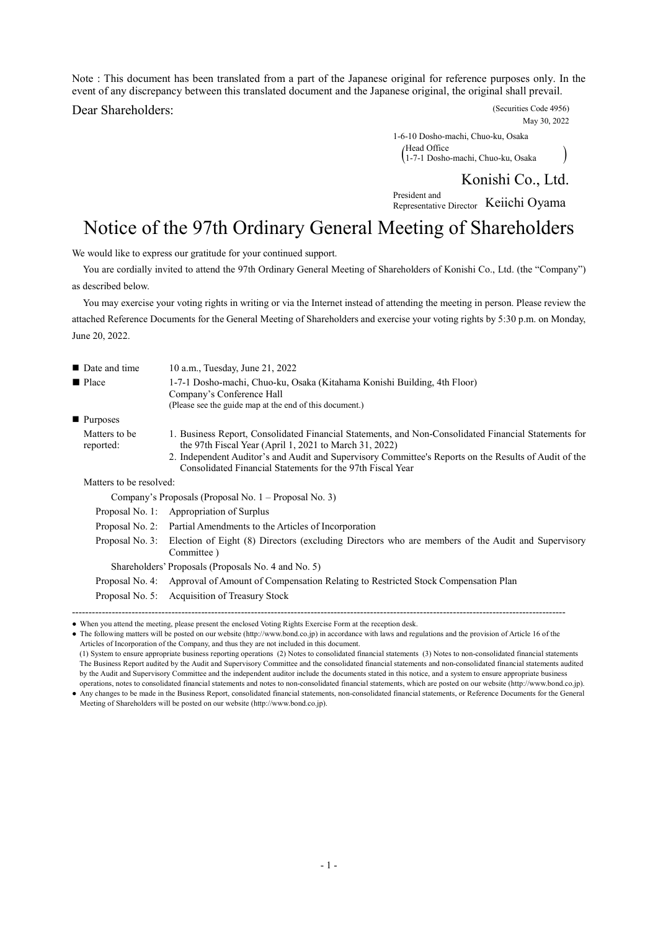Note : This document has been translated from a part of the Japanese original for reference purposes only. In the event of any discrepancy between this translated document and the Japanese original, the original shall prevail.

Dear Shareholders: (Securities Code 4956)

May 30, 2022

1-6-10 Dosho-machi, Chuo-ku, Osaka ( 1-7-1 Dosho-machi, Chuo-ku, Osaka ) Head Office

Konishi Co., Ltd.

President and Representative Director Keiichi Oyama

# Notice of the 97th Ordinary General Meeting of Shareholders

We would like to express our gratitude for your continued support.

You are cordially invited to attend the 97th Ordinary General Meeting of Shareholders of Konishi Co., Ltd. (the "Company") as described below.

You may exercise your voting rights in writing or via the Internet instead of attending the meeting in person. Please review the attached Reference Documents for the General Meeting of Shareholders and exercise your voting rights by 5:30 p.m. on Monday, June 20, 2022.

| ■ Date and time            | 10 a.m., Tuesday, June 21, 2022                                                                                                                                                                                                                                                                                                       |
|----------------------------|---------------------------------------------------------------------------------------------------------------------------------------------------------------------------------------------------------------------------------------------------------------------------------------------------------------------------------------|
| ■ Place                    | 1-7-1 Dosho-machi, Chuo-ku, Osaka (Kitahama Konishi Building, 4th Floor)<br>Company's Conference Hall<br>(Please see the guide map at the end of this document.)                                                                                                                                                                      |
| ■ Purposes                 |                                                                                                                                                                                                                                                                                                                                       |
| Matters to be<br>reported: | 1. Business Report, Consolidated Financial Statements, and Non-Consolidated Financial Statements for<br>the 97th Fiscal Year (April 1, 2021 to March 31, 2022)<br>2. Independent Auditor's and Audit and Supervisory Committee's Reports on the Results of Audit of the<br>Consolidated Financial Statements for the 97th Fiscal Year |
| Matters to be resolved:    |                                                                                                                                                                                                                                                                                                                                       |
|                            | Company's Proposals (Proposal No. 1 – Proposal No. 3)                                                                                                                                                                                                                                                                                 |
|                            | Proposal No. 1: Appropriation of Surplus                                                                                                                                                                                                                                                                                              |
|                            | Proposal No. 2: Partial Amendments to the Articles of Incorporation                                                                                                                                                                                                                                                                   |
| Proposal No. 3:            | Election of Eight (8) Directors (excluding Directors who are members of the Audit and Supervisory<br>Committee)                                                                                                                                                                                                                       |
|                            | Shareholders' Proposals (Proposals No. 4 and No. 5)                                                                                                                                                                                                                                                                                   |
| Proposal No. 4:            | Approval of Amount of Compensation Relating to Restricted Stock Compensation Plan                                                                                                                                                                                                                                                     |
|                            | Proposal No. 5: Acquisition of Treasury Stock                                                                                                                                                                                                                                                                                         |

<sup>●</sup> When you attend the meeting, please present the enclosed Voting Rights Exercise Form at the reception desk.

<sup>●</sup> The following matters will be posted on our website (http://www.bond.co.jp) in accordance with laws and regulations and the provision of Article 16 of the Articles of Incorporation of the Company, and thus they are not included in this document.

<sup>(1)</sup> System to ensure appropriate business reporting operations (2) Notes to consolidated financial statements (3) Notes to non-consolidated financial statements The Business Report audited by the Audit and Supervisory Committee and the consolidated financial statements and non-consolidated financial statements audited by the Audit and Supervisory Committee and the independent auditor include the documents stated in this notice, and a system to ensure appropriate business operations, notes to consolidated financial statements and notes to non-consolidated financial statements, which are posted on our website (http://www.bond.co.jp).

<sup>●</sup> Any changes to be made in the Business Report, consolidated financial statements, non-consolidated financial statements, or Reference Documents for the General Meeting of Shareholders will be posted on our website (http://www.bond.co.jp).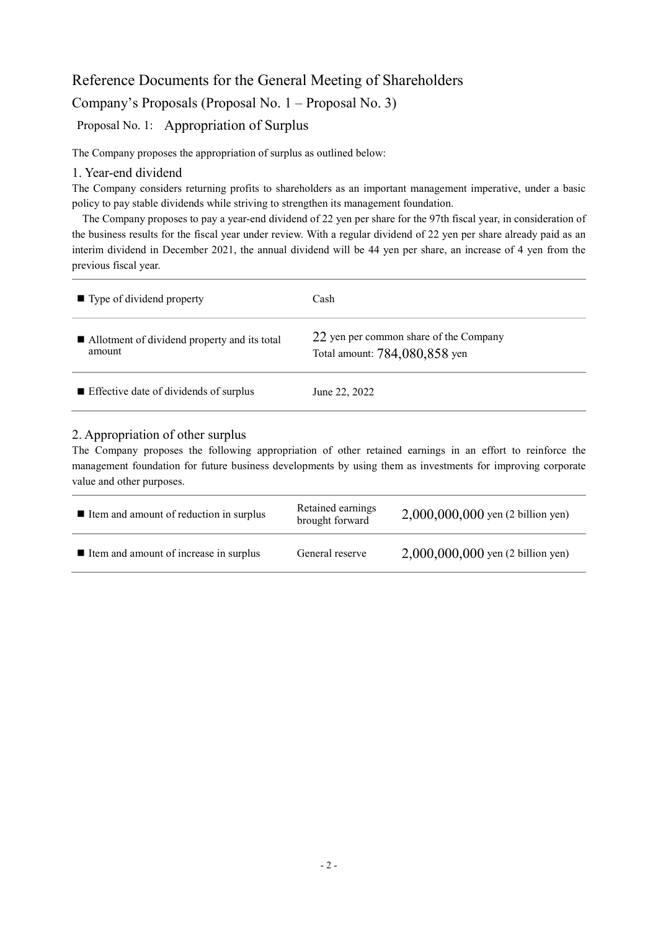## Reference Documents for the General Meeting of Shareholders Company's Proposals (Proposal No. 1 – Proposal No. 3) Proposal No. 1: Appropriation of Surplus

The Company proposes the appropriation of surplus as outlined below:

### 1. Year-end dividend

The Company considers returning profits to shareholders as an important management imperative, under a basic policy to pay stable dividends while striving to strengthen its management foundation.

The Company proposes to pay a year-end dividend of 22 yen per share for the 97th fiscal year, in consideration of the business results for the fiscal year under review. With a regular dividend of 22 yen per share already paid as an interim dividend in December 2021, the annual dividend will be 44 yen per share, an increase of 4 yen from the previous fiscal year.

| $\blacksquare$ Type of dividend property                 | Cash                                                                    |
|----------------------------------------------------------|-------------------------------------------------------------------------|
| ■ Allotment of dividend property and its total<br>amount | 22 yen per common share of the Company<br>Total amount: 784,080,858 yen |
| $\blacksquare$ Effective date of dividends of surplus    | June 22, 2022                                                           |

## 2. Appropriation of other surplus

The Company proposes the following appropriation of other retained earnings in an effort to reinforce the management foundation for future business developments by using them as investments for improving corporate value and other purposes.

| ■ Item and amount of reduction in surplus | Retained earnings<br>brought forward | 2,000,000,000 yen (2 billion yen)   |
|-------------------------------------------|--------------------------------------|-------------------------------------|
| ■ Item and amount of increase in surplus  | General reserve                      | $2,000,000,000$ yen (2 billion yen) |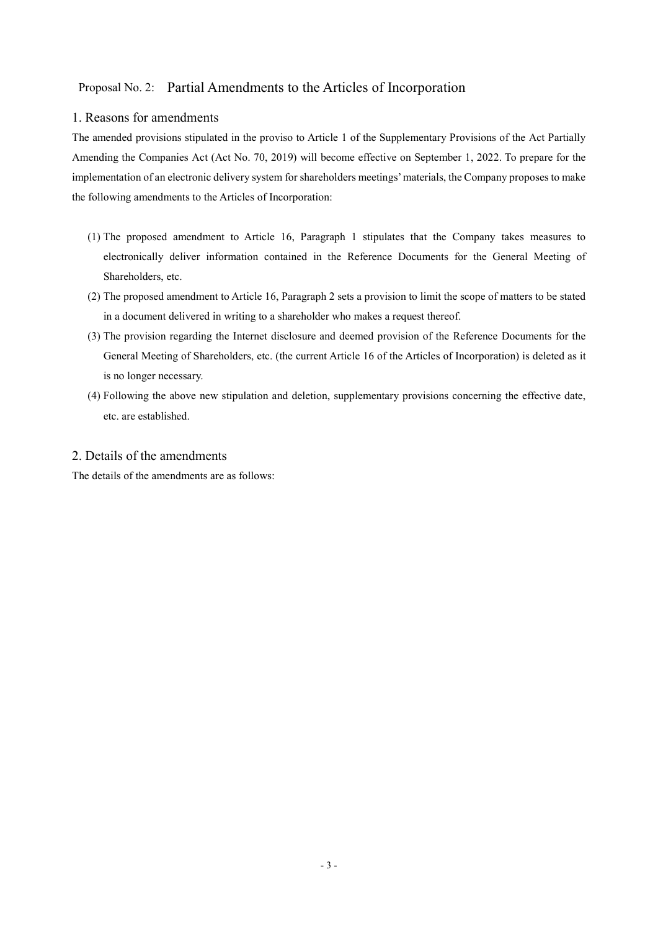## Proposal No. 2: Partial Amendments to the Articles of Incorporation

## 1. Reasons for amendments

The amended provisions stipulated in the proviso to Article 1 of the Supplementary Provisions of the Act Partially Amending the Companies Act (Act No. 70, 2019) will become effective on September 1, 2022. To prepare for the implementation of an electronic delivery system for shareholders meetings' materials, the Company proposes to make the following amendments to the Articles of Incorporation:

- (1) The proposed amendment to Article 16, Paragraph 1 stipulates that the Company takes measures to electronically deliver information contained in the Reference Documents for the General Meeting of Shareholders, etc.
- (2) The proposed amendment to Article 16, Paragraph 2 sets a provision to limit the scope of matters to be stated in a document delivered in writing to a shareholder who makes a request thereof.
- (3) The provision regarding the Internet disclosure and deemed provision of the Reference Documents for the General Meeting of Shareholders, etc. (the current Article 16 of the Articles of Incorporation) is deleted as it is no longer necessary.
- (4) Following the above new stipulation and deletion, supplementary provisions concerning the effective date, etc. are established.

## 2. Details of the amendments

The details of the amendments are as follows: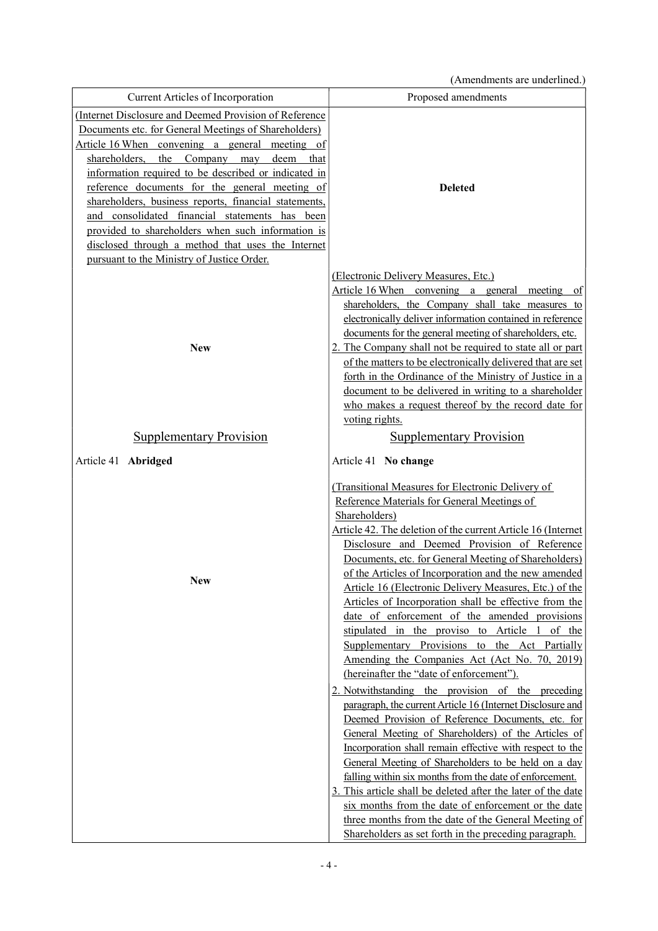(Amendments are underlined.)

|                                                        | <i>A</i> michaments are andernited.                          |
|--------------------------------------------------------|--------------------------------------------------------------|
| Current Articles of Incorporation                      | Proposed amendments                                          |
| (Internet Disclosure and Deemed Provision of Reference |                                                              |
| Documents etc. for General Meetings of Shareholders)   |                                                              |
| Article 16 When convening a general meeting of         |                                                              |
| shareholders, the<br>Company may<br>deem<br>that       |                                                              |
| information required to be described or indicated in   |                                                              |
| reference documents for the general meeting of         | <b>Deleted</b>                                               |
| shareholders, business reports, financial statements,  |                                                              |
| and consolidated financial statements has been         |                                                              |
| provided to shareholders when such information is      |                                                              |
| disclosed through a method that uses the Internet      |                                                              |
| pursuant to the Ministry of Justice Order.             |                                                              |
|                                                        | (Electronic Delivery Measures, Etc.)                         |
|                                                        | Article 16 When convening a general meeting<br><sub>of</sub> |
|                                                        | shareholders, the Company shall take measures to             |
|                                                        | electronically deliver information contained in reference    |
|                                                        | documents for the general meeting of shareholders, etc.      |
| <b>New</b>                                             | 2. The Company shall not be required to state all or part    |
|                                                        | of the matters to be electronically delivered that are set   |
|                                                        | forth in the Ordinance of the Ministry of Justice in a       |
|                                                        | document to be delivered in writing to a shareholder         |
|                                                        | who makes a request thereof by the record date for           |
|                                                        | voting rights.                                               |
| <b>Supplementary Provision</b>                         | <b>Supplementary Provision</b>                               |
| Article 41 Abridged                                    | Article 41 No change                                         |
|                                                        |                                                              |
|                                                        | (Transitional Measures for Electronic Delivery of            |
|                                                        | Reference Materials for General Meetings of                  |
|                                                        | Shareholders)                                                |
|                                                        | Article 42. The deletion of the current Article 16 (Internet |
|                                                        | Disclosure and Deemed Provision of Reference                 |
|                                                        | Documents, etc. for General Meeting of Shareholders)         |
| New                                                    | of the Articles of Incorporation and the new amended         |
|                                                        | Article 16 (Electronic Delivery Measures, Etc.) of the       |
|                                                        | Articles of Incorporation shall be effective from the        |
|                                                        | date of enforcement of the amended provisions                |
|                                                        | stipulated in the proviso to Article 1 of the                |
|                                                        | Supplementary Provisions to the Act Partially                |
|                                                        | Amending the Companies Act (Act No. 70, 2019)                |
|                                                        | (hereinafter the "date of enforcement").                     |
|                                                        | 2. Notwithstanding the provision of the preceding            |
|                                                        | paragraph, the current Article 16 (Internet Disclosure and   |
|                                                        | Deemed Provision of Reference Documents, etc. for            |
|                                                        | General Meeting of Shareholders) of the Articles of          |
|                                                        | Incorporation shall remain effective with respect to the     |
|                                                        | General Meeting of Shareholders to be held on a day          |
|                                                        | falling within six months from the date of enforcement.      |
|                                                        | 3. This article shall be deleted after the later of the date |
|                                                        | six months from the date of enforcement or the date          |
|                                                        | three months from the date of the General Meeting of         |
|                                                        | Shareholders as set forth in the preceding paragraph.        |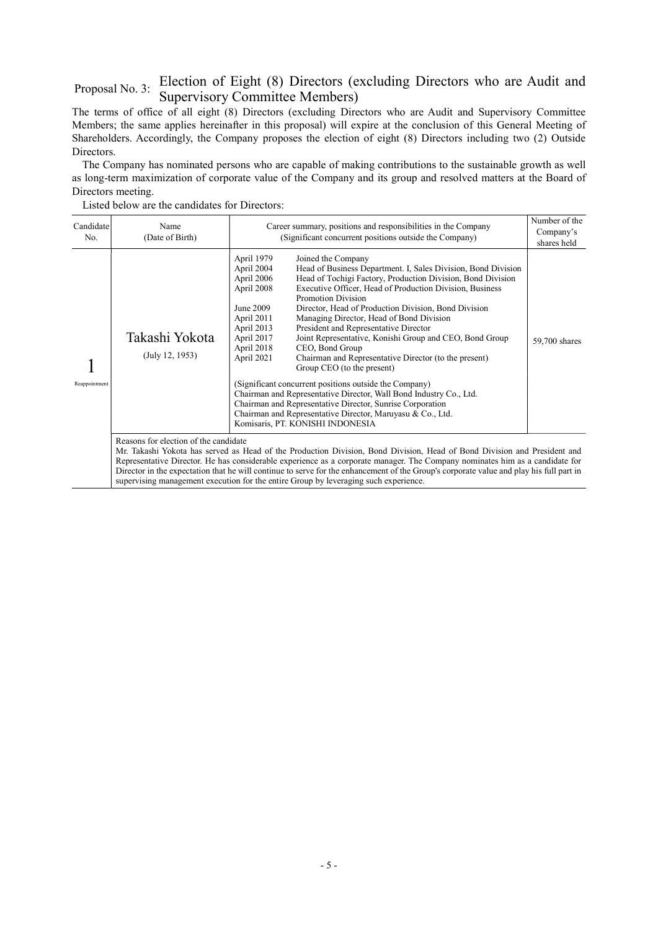## Proposal No. 3: Election of Eight (8) Directors (excluding Directors who are Audit and Supervisory Committee Members)

The terms of office of all eight (8) Directors (excluding Directors who are Audit and Supervisory Committee Members; the same applies hereinafter in this proposal) will expire at the conclusion of this General Meeting of Shareholders. Accordingly, the Company proposes the election of eight (8) Directors including two (2) Outside Directors.

The Company has nominated persons who are capable of making contributions to the sustainable growth as well as long-term maximization of corporate value of the Company and its group and resolved matters at the Board of Directors meeting.

| Candidate<br>No. | Name<br>(Date of Birth)               | Career summary, positions and responsibilities in the Company<br>(Significant concurrent positions outside the Company)                                                                                                                                                                                                                                                                                                                                                                                                                                                                                                                                                                                                                                                                                                                                                                                                                                                                                 | Number of the<br>Company's<br>shares held |  |  |  |
|------------------|---------------------------------------|---------------------------------------------------------------------------------------------------------------------------------------------------------------------------------------------------------------------------------------------------------------------------------------------------------------------------------------------------------------------------------------------------------------------------------------------------------------------------------------------------------------------------------------------------------------------------------------------------------------------------------------------------------------------------------------------------------------------------------------------------------------------------------------------------------------------------------------------------------------------------------------------------------------------------------------------------------------------------------------------------------|-------------------------------------------|--|--|--|
| Reappointment    | Takashi Yokota<br>(July 12, 1953)     | April 1979<br>Joined the Company<br>April 2004<br>Head of Business Department. I, Sales Division, Bond Division<br>April 2006<br>Head of Tochigi Factory, Production Division, Bond Division<br>Executive Officer, Head of Production Division, Business<br>April 2008<br><b>Promotion Division</b><br>Director, Head of Production Division, Bond Division<br>June 2009<br>April 2011<br>Managing Director, Head of Bond Division<br>April 2013<br>President and Representative Director<br>April 2017<br>Joint Representative, Konishi Group and CEO, Bond Group<br>April 2018<br>CEO, Bond Group<br>April 2021<br>Chairman and Representative Director (to the present)<br>Group CEO (to the present)<br>(Significant concurrent positions outside the Company)<br>Chairman and Representative Director, Wall Bond Industry Co., Ltd.<br>Chairman and Representative Director, Sunrise Corporation<br>Chairman and Representative Director, Maruyasu & Co., Ltd.<br>Komisaris, PT. KONISHI INDONESIA | 59,700 shares                             |  |  |  |
|                  | Reasons for election of the candidate |                                                                                                                                                                                                                                                                                                                                                                                                                                                                                                                                                                                                                                                                                                                                                                                                                                                                                                                                                                                                         |                                           |  |  |  |

Listed below are the candidates for Directors:

Reasons for election of the candidate

Mr. Takashi Yokota has served as Head of the Production Division, Bond Division, Head of Bond Division and President and Representative Director. He has considerable experience as a corporate manager. The Company nominates him as a candidate for Director in the expectation that he will continue to serve for the enhancement of the Group's corporate value and play his full part in supervising management execution for the entire Group by leveraging such experience.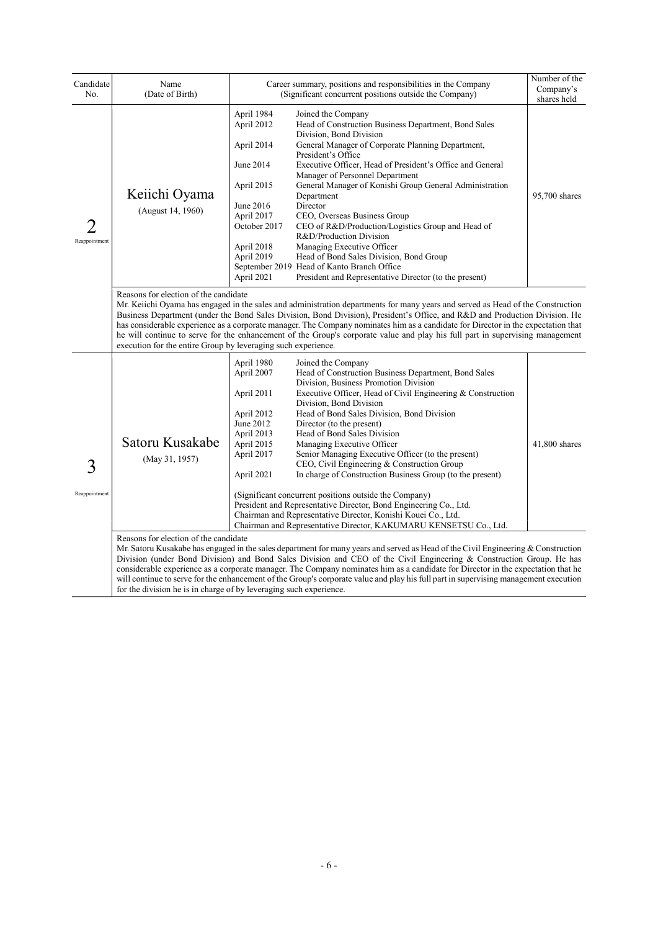| Candidate<br>No.   | Name<br>(Date of Birth)                                                                                                                                                                                                                                                                                                                                                                                                                                                                                                                                                                                                                        |                                                                                                                                                        | Career summary, positions and responsibilities in the Company<br>(Significant concurrent positions outside the Company)                                                                                                                                                                                                                                                                                                                                                                                                                                                                                                                                                                                                                                                                                                                                                                                                                                                                                                                                                                                                                                                                                                                                                                                                               | Number of the<br>Company's<br>shares held |  |
|--------------------|------------------------------------------------------------------------------------------------------------------------------------------------------------------------------------------------------------------------------------------------------------------------------------------------------------------------------------------------------------------------------------------------------------------------------------------------------------------------------------------------------------------------------------------------------------------------------------------------------------------------------------------------|--------------------------------------------------------------------------------------------------------------------------------------------------------|---------------------------------------------------------------------------------------------------------------------------------------------------------------------------------------------------------------------------------------------------------------------------------------------------------------------------------------------------------------------------------------------------------------------------------------------------------------------------------------------------------------------------------------------------------------------------------------------------------------------------------------------------------------------------------------------------------------------------------------------------------------------------------------------------------------------------------------------------------------------------------------------------------------------------------------------------------------------------------------------------------------------------------------------------------------------------------------------------------------------------------------------------------------------------------------------------------------------------------------------------------------------------------------------------------------------------------------|-------------------------------------------|--|
| 2<br>Reappointment | Keiichi Oyama<br>(August 14, 1960)                                                                                                                                                                                                                                                                                                                                                                                                                                                                                                                                                                                                             | April 1984<br>April 2012<br>April 2014<br>June 2014<br>April 2015<br>June 2016<br>April 2017<br>October 2017<br>April 2018<br>April 2019<br>April 2021 | Joined the Company<br>Head of Construction Business Department, Bond Sales<br>Division, Bond Division<br>General Manager of Corporate Planning Department,<br>President's Office<br>Executive Officer, Head of President's Office and General<br>Manager of Personnel Department<br>General Manager of Konishi Group General Administration<br>Department<br>Director<br>CEO, Overseas Business Group<br>CEO of R&D/Production/Logistics Group and Head of<br>R&D/Production Division<br>Managing Executive Officer<br>Head of Bond Sales Division, Bond Group<br>September 2019 Head of Kanto Branch Office<br>President and Representative Director (to the present)                                                                                                                                                                                                                                                                                                                                                                                                                                                                                                                                                                                                                                                                | 95,700 shares                             |  |
|                    | Reasons for election of the candidate<br>Mr. Keiichi Oyama has engaged in the sales and administration departments for many years and served as Head of the Construction<br>Business Department (under the Bond Sales Division, Bond Division), President's Office, and R&D and Production Division. He<br>has considerable experience as a corporate manager. The Company nominates him as a candidate for Director in the expectation that<br>he will continue to serve for the enhancement of the Group's corporate value and play his full part in supervising management<br>execution for the entire Group by leveraging such experience. |                                                                                                                                                        |                                                                                                                                                                                                                                                                                                                                                                                                                                                                                                                                                                                                                                                                                                                                                                                                                                                                                                                                                                                                                                                                                                                                                                                                                                                                                                                                       |                                           |  |
| 3<br>Reappointment | Satoru Kusakabe<br>(May 31, 1957)<br>Reasons for election of the candidate<br>for the division he is in charge of by leveraging such experience.                                                                                                                                                                                                                                                                                                                                                                                                                                                                                               | April 1980<br>April 2007<br>April 2011<br>April 2012<br>June 2012<br>April 2013<br>April 2015<br>April 2017<br>April 2021                              | Joined the Company<br>Head of Construction Business Department, Bond Sales<br>Division, Business Promotion Division<br>Executive Officer, Head of Civil Engineering & Construction<br>Division, Bond Division<br>Head of Bond Sales Division, Bond Division<br>Director (to the present)<br>Head of Bond Sales Division<br>Managing Executive Officer<br>Senior Managing Executive Officer (to the present)<br>CEO, Civil Engineering & Construction Group<br>In charge of Construction Business Group (to the present)<br>(Significant concurrent positions outside the Company)<br>President and Representative Director, Bond Engineering Co., Ltd.<br>Chairman and Representative Director, Konishi Kouei Co., Ltd.<br>Chairman and Representative Director, KAKUMARU KENSETSU Co., Ltd.<br>Mr. Satoru Kusakabe has engaged in the sales department for many years and served as Head of the Civil Engineering & Construction<br>Division (under Bond Division) and Bond Sales Division and CEO of the Civil Engineering & Construction Group. He has<br>considerable experience as a corporate manager. The Company nominates him as a candidate for Director in the expectation that he<br>will continue to serve for the enhancement of the Group's corporate value and play his full part in supervising management execution | 41,800 shares                             |  |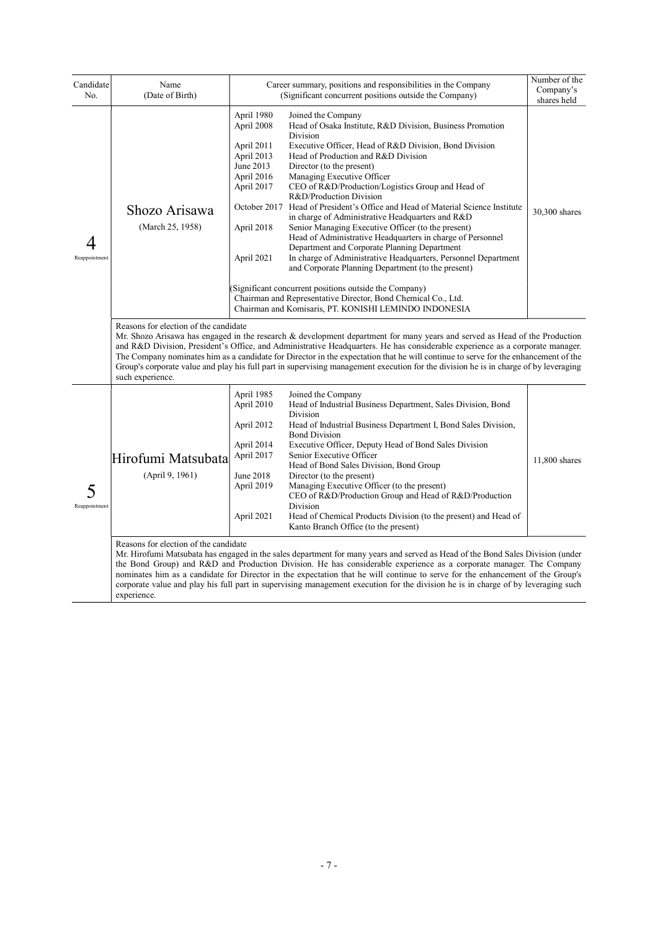| Candidate<br>No.   | Name<br>(Date of Birth)                                   | Career summary, positions and responsibilities in the Company<br>(Significant concurrent positions outside the Company)                                                                                                                                                                                                                                                                                                                                                                                                                                                                                                                                                                                                                                                                                                                                                                                                                                                                                                                                                                       | Number of the<br>Company's<br>shares held |
|--------------------|-----------------------------------------------------------|-----------------------------------------------------------------------------------------------------------------------------------------------------------------------------------------------------------------------------------------------------------------------------------------------------------------------------------------------------------------------------------------------------------------------------------------------------------------------------------------------------------------------------------------------------------------------------------------------------------------------------------------------------------------------------------------------------------------------------------------------------------------------------------------------------------------------------------------------------------------------------------------------------------------------------------------------------------------------------------------------------------------------------------------------------------------------------------------------|-------------------------------------------|
| 4<br>Reappointment | Shozo Arisawa<br>(March 25, 1958)                         | April 1980<br>Joined the Company<br>April 2008<br>Head of Osaka Institute, R&D Division, Business Promotion<br>Division<br>April 2011<br>Executive Officer, Head of R&D Division, Bond Division<br>April 2013<br>Head of Production and R&D Division<br>June 2013<br>Director (to the present)<br>April 2016<br>Managing Executive Officer<br>April 2017<br>CEO of R&D/Production/Logistics Group and Head of<br>R&D/Production Division<br>October 2017<br>Head of President's Office and Head of Material Science Institute<br>in charge of Administrative Headquarters and R&D<br>Senior Managing Executive Officer (to the present)<br>April 2018<br>Head of Administrative Headquarters in charge of Personnel<br>Department and Corporate Planning Department<br>In charge of Administrative Headquarters, Personnel Department<br>April 2021<br>and Corporate Planning Department (to the present)<br>(Significant concurrent positions outside the Company)<br>Chairman and Representative Director, Bond Chemical Co., Ltd.<br>Chairman and Komisaris, PT. KONISHI LEMINDO INDONESIA | 30,300 shares                             |
|                    | Reasons for election of the candidate<br>such experience. | Mr. Shozo Arisawa has engaged in the research & development department for many years and served as Head of the Production<br>and R&D Division, President's Office, and Administrative Headquarters. He has considerable experience as a corporate manager.<br>The Company nominates him as a candidate for Director in the expectation that he will continue to serve for the enhancement of the<br>Group's corporate value and play his full part in supervising management execution for the division he is in charge of by leveraging                                                                                                                                                                                                                                                                                                                                                                                                                                                                                                                                                     |                                           |
| 5<br>Reappointment | Hirofumi Matsubata<br>(April 9, 1961)                     | April 1985<br>Joined the Company<br>April 2010<br>Head of Industrial Business Department, Sales Division, Bond<br>Division<br>April 2012<br>Head of Industrial Business Department I, Bond Sales Division,<br><b>Bond Division</b><br>April 2014<br>Executive Officer, Deputy Head of Bond Sales Division<br>April 2017<br>Senior Executive Officer<br>Head of Bond Sales Division, Bond Group<br>June 2018<br>Director (to the present)<br>April 2019<br>Managing Executive Officer (to the present)<br>CEO of R&D/Production Group and Head of R&D/Production<br>Division<br>April 2021<br>Head of Chemical Products Division (to the present) and Head of<br>Kanto Branch Office (to the present)                                                                                                                                                                                                                                                                                                                                                                                          | 11,800 shares                             |
|                    | Reasons for election of the candidate                     | Mr. Hirofumi Matsubata has engaged in the sales department for many years and served as Head of the Bond Sales Division (under<br>the Bond Group) and R&D and Production Division. He has considerable experience as a corporate manager. The Company<br>nominates him as a candidate for Director in the expectation that he will continue to serve for the enhancement of the Group's                                                                                                                                                                                                                                                                                                                                                                                                                                                                                                                                                                                                                                                                                                       |                                           |

corporate value and play his full part in supervising management execution for the division he is in charge of by leveraging such experience.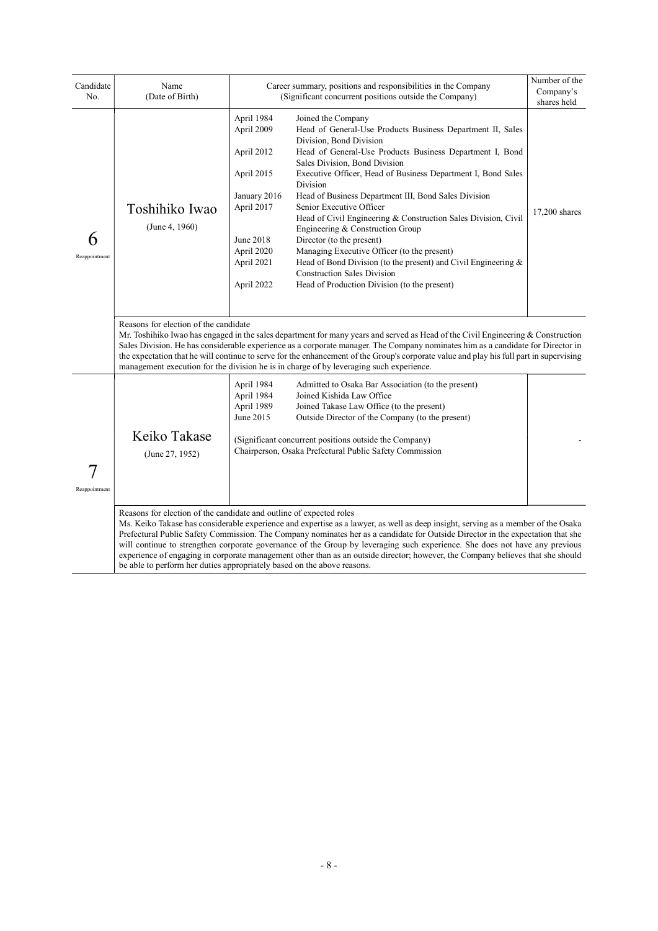| Candidate<br>No.   | Name<br>(Date of Birth)                                                                                                                                                                                                                                                                                                                                                                                                                                                                                                                            | Career summary, positions and responsibilities in the Company<br>(Significant concurrent positions outside the Company)                                                                                                                                                                                                                                                                                                                                                                                                                                                                                                                                                                                                                                                                                                                                            | Number of the<br>Company's<br>shares held |  |  |
|--------------------|----------------------------------------------------------------------------------------------------------------------------------------------------------------------------------------------------------------------------------------------------------------------------------------------------------------------------------------------------------------------------------------------------------------------------------------------------------------------------------------------------------------------------------------------------|--------------------------------------------------------------------------------------------------------------------------------------------------------------------------------------------------------------------------------------------------------------------------------------------------------------------------------------------------------------------------------------------------------------------------------------------------------------------------------------------------------------------------------------------------------------------------------------------------------------------------------------------------------------------------------------------------------------------------------------------------------------------------------------------------------------------------------------------------------------------|-------------------------------------------|--|--|
| 6<br>Reappointment | Toshihiko Iwao<br>(June 4, 1960)                                                                                                                                                                                                                                                                                                                                                                                                                                                                                                                   | April 1984<br>Joined the Company<br>April 2009<br>Head of General-Use Products Business Department II, Sales<br>Division, Bond Division<br>April 2012<br>Head of General-Use Products Business Department I, Bond<br>Sales Division, Bond Division<br>April 2015<br>Executive Officer, Head of Business Department I, Bond Sales<br>Division<br>January 2016<br>Head of Business Department III, Bond Sales Division<br>Senior Executive Officer<br>April 2017<br>Head of Civil Engineering & Construction Sales Division, Civil<br>Engineering & Construction Group<br>June 2018<br>Director (to the present)<br>April 2020<br>Managing Executive Officer (to the present)<br>Head of Bond Division (to the present) and Civil Engineering $\&$<br>April 2021<br><b>Construction Sales Division</b><br>April 2022<br>Head of Production Division (to the present) | 17,200 shares                             |  |  |
|                    | Reasons for election of the candidate<br>Mr. Toshihiko Iwao has engaged in the sales department for many years and served as Head of the Civil Engineering & Construction<br>Sales Division. He has considerable experience as a corporate manager. The Company nominates him as a candidate for Director in<br>the expectation that he will continue to serve for the enhancement of the Group's corporate value and play his full part in supervising<br>management execution for the division he is in charge of by leveraging such experience. |                                                                                                                                                                                                                                                                                                                                                                                                                                                                                                                                                                                                                                                                                                                                                                                                                                                                    |                                           |  |  |
| Reappointment      | Keiko Takase<br>(June 27, 1952)                                                                                                                                                                                                                                                                                                                                                                                                                                                                                                                    | April 1984<br>Admitted to Osaka Bar Association (to the present)<br>April 1984<br>Joined Kishida Law Office<br>April 1989<br>Joined Takase Law Office (to the present)<br>June 2015<br>Outside Director of the Company (to the present)<br>(Significant concurrent positions outside the Company)<br>Chairperson, Osaka Prefectural Public Safety Commission                                                                                                                                                                                                                                                                                                                                                                                                                                                                                                       |                                           |  |  |
|                    |                                                                                                                                                                                                                                                                                                                                                                                                                                                                                                                                                    | Reasons for election of the candidate and outline of expected roles<br>Ms. Keiko Takase has considerable experience and expertise as a lawyer, as well as deep insight, serving as a member of the Osaka<br>Prefectural Public Safety Commission. The Company nominates her as a candidate for Outside Director in the expectation that she<br>will continue to strengthen corporate governance of the Group by leveraging such experience. She does not have any previous<br>experience of engaging in corporate management other than as an outside director; however, the Company believes that she should<br>be able to perform her duties appropriately based on the above reasons.                                                                                                                                                                           |                                           |  |  |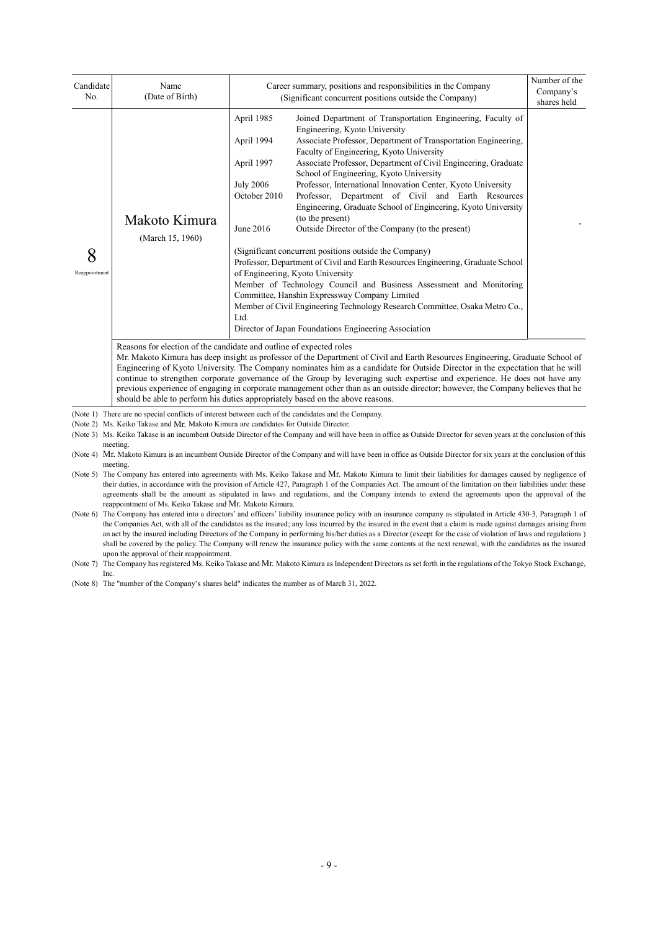| Candidate<br>No.   | Name<br>(Date of Birth)                                                                                                        | Career summary, positions and responsibilities in the Company<br>(Significant concurrent positions outside the Company) | Number of the<br>Company's<br>shares held                                                                                                                                                                                                                                                                                                                                                                                                                                                                                                                                                                                                                                                                                                                                                                                                                                                                                                                                                                                               |  |  |  |  |
|--------------------|--------------------------------------------------------------------------------------------------------------------------------|-------------------------------------------------------------------------------------------------------------------------|-----------------------------------------------------------------------------------------------------------------------------------------------------------------------------------------------------------------------------------------------------------------------------------------------------------------------------------------------------------------------------------------------------------------------------------------------------------------------------------------------------------------------------------------------------------------------------------------------------------------------------------------------------------------------------------------------------------------------------------------------------------------------------------------------------------------------------------------------------------------------------------------------------------------------------------------------------------------------------------------------------------------------------------------|--|--|--|--|
| 8<br>Reappointment | Makoto Kimura<br>(March 15, 1960)<br>Reasons for election of the candidate and outline of expected roles                       | April 1985<br>April 1994<br>April 1997<br><b>July 2006</b><br>October 2010<br>June 2016<br>Ltd.                         | Joined Department of Transportation Engineering, Faculty of<br>Engineering, Kyoto University<br>Associate Professor, Department of Transportation Engineering,<br>Faculty of Engineering, Kyoto University<br>Associate Professor, Department of Civil Engineering, Graduate<br>School of Engineering, Kyoto University<br>Professor, International Innovation Center, Kyoto University<br>Professor, Department of Civil and Earth Resources<br>Engineering, Graduate School of Engineering, Kyoto University<br>(to the present)<br>Outside Director of the Company (to the present)<br>(Significant concurrent positions outside the Company)<br>Professor, Department of Civil and Earth Resources Engineering, Graduate School<br>of Engineering, Kyoto University<br>Member of Technology Council and Business Assessment and Monitoring<br>Committee, Hanshin Expressway Company Limited<br>Member of Civil Engineering Technology Research Committee, Osaka Metro Co.,<br>Director of Japan Foundations Engineering Association |  |  |  |  |
|                    | Mr. Makoto Kimura has deep insight as professor of the Department of Civil and Earth Resources Engineering, Graduate School of |                                                                                                                         |                                                                                                                                                                                                                                                                                                                                                                                                                                                                                                                                                                                                                                                                                                                                                                                                                                                                                                                                                                                                                                         |  |  |  |  |

Engineering of Kyoto University. The Company nominates him as a candidate for Outside Director in the expectation that he will continue to strengthen corporate governance of the Group by leveraging such expertise and experience. He does not have any previous experience of engaging in corporate management other than as an outside director; however, the Company believes that he should be able to perform his duties appropriately based on the above reasons.

(Note 1) There are no special conflicts of interest between each of the candidates and the Company.

- (Note 2) Ms. Keiko Takase and Mr. Makoto Kimura are candidates for Outside Director.
- (Note 3) Ms. Keiko Takase is an incumbent Outside Director of the Company and will have been in office as Outside Director for seven years at the conclusion of this meeting.

(Note 4) Mr. Makoto Kimura is an incumbent Outside Director of the Company and will have been in office as Outside Director for six years at the conclusion of this meeting.

(Note 5) The Company has entered into agreements with Ms. Keiko Takase and Mr. Makoto Kimura to limit their liabilities for damages caused by negligence of their duties, in accordance with the provision of Article 427, Paragraph 1 of the Companies Act. The amount of the limitation on their liabilities under these agreements shall be the amount as stipulated in laws and regulations, and the Company intends to extend the agreements upon the approval of the reappointment of Ms. Keiko Takase and Mr. Makoto Kimura.

(Note 6) The Company has entered into a directors' and officers' liability insurance policy with an insurance company as stipulated in Article 430-3, Paragraph 1 of the Companies Act, with all of the candidates as the insured; any loss incurred by the insured in the event that a claim is made against damages arising from an act by the insured including Directors of the Company in performing his/her duties as a Director (except for the case of violation of laws and regulations ) shall be covered by the policy. The Company will renew the insurance policy with the same contents at the next renewal, with the candidates as the insured upon the approval of their reappointment.

(Note 7) The Company has registered Ms. Keiko Takase and Mr. Makoto Kimura as Independent Directors as set forth in the regulations of the Tokyo Stock Exchange, Inc.

(Note 8) The "number of the Company's shares held" indicates the number as of March 31, 2022.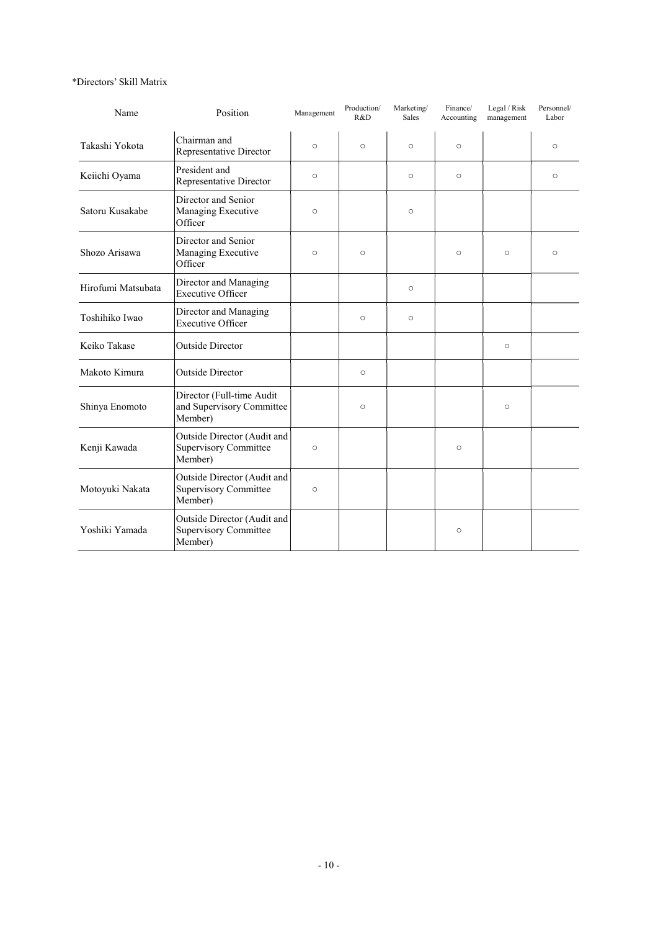#### \*Directors' Skill Matrix

| Name               | Position                                                               | Management | Production/<br>R&D | Marketing/<br>Sales | Finance/<br>Accounting | Legal / Risk<br>management | Personnel/<br>Labor |
|--------------------|------------------------------------------------------------------------|------------|--------------------|---------------------|------------------------|----------------------------|---------------------|
| Takashi Yokota     | Chairman and<br>Representative Director                                | $\circ$    | $\circ$            | $\circ$             | $\circ$                |                            | $\circ$             |
| Keiichi Oyama      | President and<br>Representative Director                               | $\circ$    |                    | $\circ$             | $\circ$                |                            | $\circ$             |
| Satoru Kusakabe    | Director and Senior<br>Managing Executive<br>Officer                   | $\circ$    |                    | $\circ$             |                        |                            |                     |
| Shozo Arisawa      | Director and Senior<br>Managing Executive<br>Officer                   | $\circ$    | $\circ$            |                     | $\circ$                | $\circ$                    | $\circ$             |
| Hirofumi Matsubata | Director and Managing<br><b>Executive Officer</b>                      |            |                    | $\circ$             |                        |                            |                     |
| Toshihiko Iwao     | Director and Managing<br><b>Executive Officer</b>                      |            | $\circ$            | $\circ$             |                        |                            |                     |
| Keiko Takase       | <b>Outside Director</b>                                                |            |                    |                     |                        | $\circ$                    |                     |
| Makoto Kimura      | <b>Outside Director</b>                                                |            | $\circ$            |                     |                        |                            |                     |
| Shinya Enomoto     | Director (Full-time Audit<br>and Supervisory Committee<br>Member)      |            | $\circ$            |                     |                        | O                          |                     |
| Kenji Kawada       | Outside Director (Audit and<br><b>Supervisory Committee</b><br>Member) | $\circ$    |                    |                     | $\circ$                |                            |                     |
| Motoyuki Nakata    | Outside Director (Audit and<br><b>Supervisory Committee</b><br>Member) | $\circ$    |                    |                     |                        |                            |                     |
| Yoshiki Yamada     | Outside Director (Audit and<br><b>Supervisory Committee</b><br>Member) |            |                    |                     | $\circ$                |                            |                     |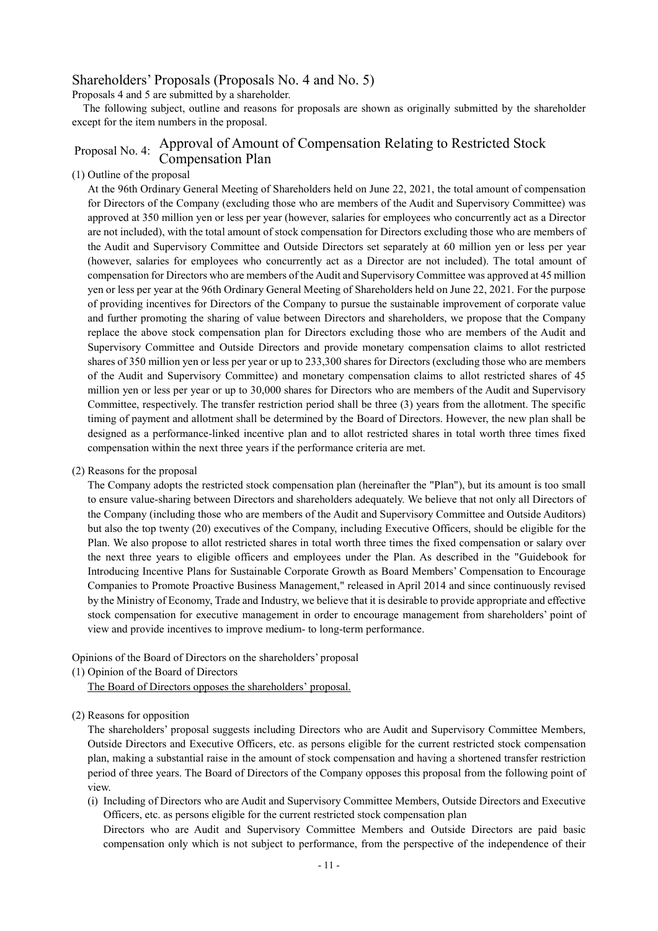## Shareholders' Proposals (Proposals No. 4 and No. 5)

Proposals 4 and 5 are submitted by a shareholder.

The following subject, outline and reasons for proposals are shown as originally submitted by the shareholder except for the item numbers in the proposal.

## Proposal No. 4: Approval of Amount of Compensation Relating to Restricted Stock Compensation Plan

#### (1) Outline of the proposal

At the 96th Ordinary General Meeting of Shareholders held on June 22, 2021, the total amount of compensation for Directors of the Company (excluding those who are members of the Audit and Supervisory Committee) was approved at 350 million yen or less per year (however, salaries for employees who concurrently act as a Director are not included), with the total amount of stock compensation for Directors excluding those who are members of the Audit and Supervisory Committee and Outside Directors set separately at 60 million yen or less per year (however, salaries for employees who concurrently act as a Director are not included). The total amount of compensation for Directors who are members of the Audit and Supervisory Committee was approved at 45 million yen or less per year at the 96th Ordinary General Meeting of Shareholders held on June 22, 2021. For the purpose of providing incentives for Directors of the Company to pursue the sustainable improvement of corporate value and further promoting the sharing of value between Directors and shareholders, we propose that the Company replace the above stock compensation plan for Directors excluding those who are members of the Audit and Supervisory Committee and Outside Directors and provide monetary compensation claims to allot restricted shares of 350 million yen or less per year or up to 233,300 shares for Directors (excluding those who are members of the Audit and Supervisory Committee) and monetary compensation claims to allot restricted shares of 45 million yen or less per year or up to 30,000 shares for Directors who are members of the Audit and Supervisory Committee, respectively. The transfer restriction period shall be three (3) years from the allotment. The specific timing of payment and allotment shall be determined by the Board of Directors. However, the new plan shall be designed as a performance-linked incentive plan and to allot restricted shares in total worth three times fixed compensation within the next three years if the performance criteria are met.

(2) Reasons for the proposal

The Company adopts the restricted stock compensation plan (hereinafter the "Plan"), but its amount is too small to ensure value-sharing between Directors and shareholders adequately. We believe that not only all Directors of the Company (including those who are members of the Audit and Supervisory Committee and Outside Auditors) but also the top twenty (20) executives of the Company, including Executive Officers, should be eligible for the Plan. We also propose to allot restricted shares in total worth three times the fixed compensation or salary over the next three years to eligible officers and employees under the Plan. As described in the "Guidebook for Introducing Incentive Plans for Sustainable Corporate Growth as Board Members' Compensation to Encourage Companies to Promote Proactive Business Management," released in April 2014 and since continuously revised by the Ministry of Economy, Trade and Industry, we believe that it is desirable to provide appropriate and effective stock compensation for executive management in order to encourage management from shareholders' point of view and provide incentives to improve medium- to long-term performance.

Opinions of the Board of Directors on the shareholders' proposal

(1) Opinion of the Board of Directors

The Board of Directors opposes the shareholders' proposal.

(2) Reasons for opposition

The shareholders' proposal suggests including Directors who are Audit and Supervisory Committee Members, Outside Directors and Executive Officers, etc. as persons eligible for the current restricted stock compensation plan, making a substantial raise in the amount of stock compensation and having a shortened transfer restriction period of three years. The Board of Directors of the Company opposes this proposal from the following point of view.

(i) Including of Directors who are Audit and Supervisory Committee Members, Outside Directors and Executive Officers, etc. as persons eligible for the current restricted stock compensation plan

Directors who are Audit and Supervisory Committee Members and Outside Directors are paid basic compensation only which is not subject to performance, from the perspective of the independence of their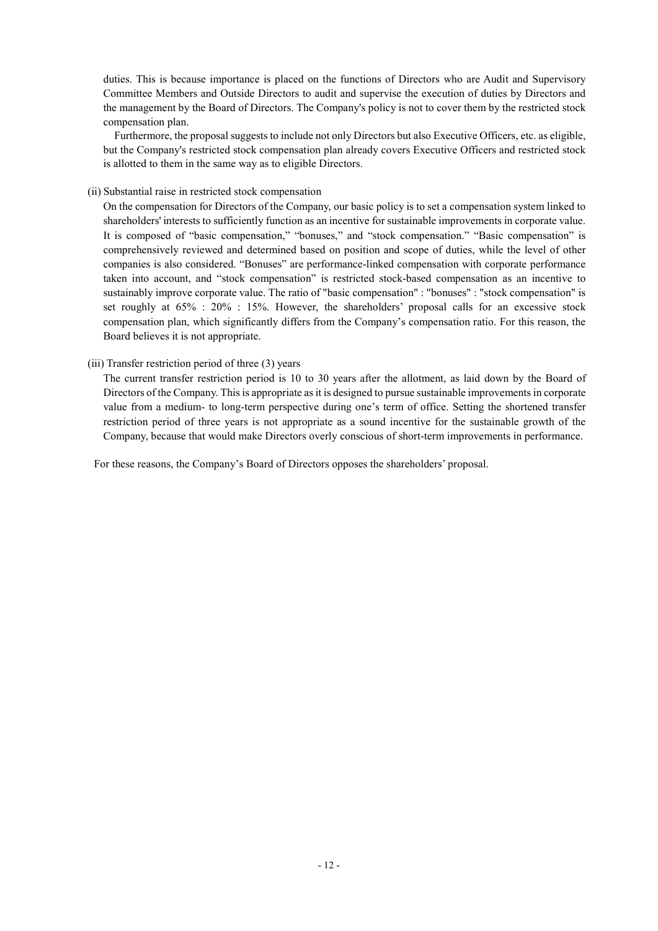duties. This is because importance is placed on the functions of Directors who are Audit and Supervisory Committee Members and Outside Directors to audit and supervise the execution of duties by Directors and the management by the Board of Directors. The Company's policy is not to cover them by the restricted stock compensation plan.

Furthermore, the proposal suggests to include not only Directors but also Executive Officers, etc. as eligible, but the Company's restricted stock compensation plan already covers Executive Officers and restricted stock is allotted to them in the same way as to eligible Directors.

#### (ii) Substantial raise in restricted stock compensation

On the compensation for Directors of the Company, our basic policy is to set a compensation system linked to shareholders' interests to sufficiently function as an incentive for sustainable improvements in corporate value. It is composed of "basic compensation," "bonuses," and "stock compensation." "Basic compensation" is comprehensively reviewed and determined based on position and scope of duties, while the level of other companies is also considered. "Bonuses" are performance-linked compensation with corporate performance taken into account, and "stock compensation" is restricted stock-based compensation as an incentive to sustainably improve corporate value. The ratio of "basic compensation" : "bonuses" : "stock compensation" is set roughly at 65% : 20% : 15%. However, the shareholders' proposal calls for an excessive stock compensation plan, which significantly differs from the Company's compensation ratio. For this reason, the Board believes it is not appropriate.

#### (iii) Transfer restriction period of three (3) years

The current transfer restriction period is 10 to 30 years after the allotment, as laid down by the Board of Directors of the Company. This is appropriate as it is designed to pursue sustainable improvements in corporate value from a medium- to long-term perspective during one's term of office. Setting the shortened transfer restriction period of three years is not appropriate as a sound incentive for the sustainable growth of the Company, because that would make Directors overly conscious of short-term improvements in performance.

For these reasons, the Company's Board of Directors opposes the shareholders' proposal.